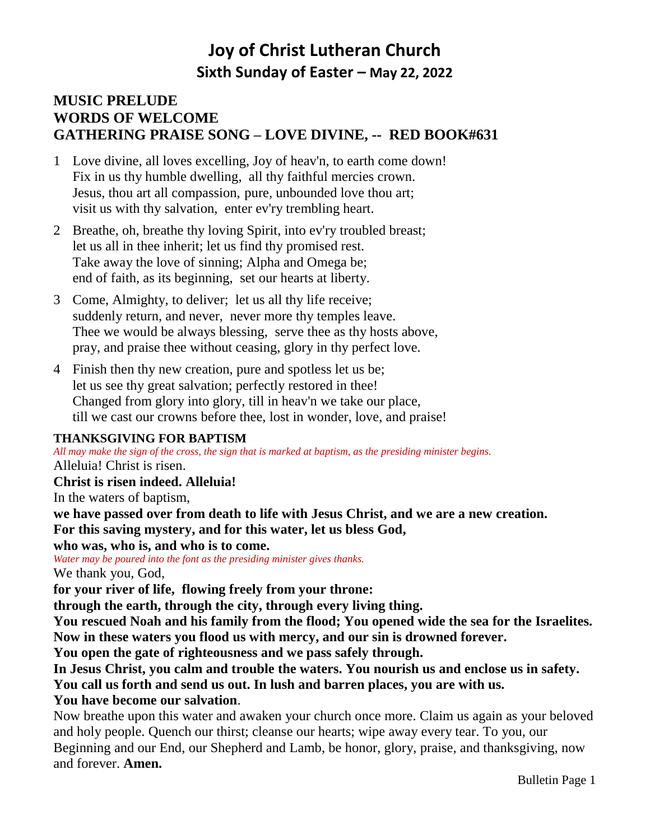# **Joy of Christ Lutheran Church Sixth Sunday of Easter – May 22, 2022**

## **MUSIC PRELUDE WORDS OF WELCOME GATHERING PRAISE SONG – LOVE DIVINE, -- RED BOOK#631**

- 1 Love divine, all loves excelling, Joy of heav'n, to earth come down! Fix in us thy humble dwelling, all thy faithful mercies crown. Jesus, thou art all compassion, pure, unbounded love thou art; visit us with thy salvation, enter ev'ry trembling heart.
- 2 Breathe, oh, breathe thy loving Spirit, into ev'ry troubled breast; let us all in thee inherit; let us find thy promised rest. Take away the love of sinning; Alpha and Omega be; end of faith, as its beginning, set our hearts at liberty.
- 3 Come, Almighty, to deliver; let us all thy life receive; suddenly return, and never, never more thy temples leave. Thee we would be always blessing, serve thee as thy hosts above, pray, and praise thee without ceasing, glory in thy perfect love.
- 4 Finish then thy new creation, pure and spotless let us be; let us see thy great salvation; perfectly restored in thee! Changed from glory into glory, till in heav'n we take our place, till we cast our crowns before thee, lost in wonder, love, and praise!

#### **THANKSGIVING FOR BAPTISM**

*All may make the sign of the cross, the sign that is marked at baptism, as the presiding minister begins.* Alleluia! Christ is risen.

**Christ is risen indeed. Alleluia!**

In the waters of baptism,

**we have passed over from death to life with Jesus Christ, and we are a new creation. For this saving mystery, and for this water, let us bless God,** 

**who was, who is, and who is to come.**

*Water may be poured into the font as the presiding minister gives thanks.*

We thank you, God,

**for your river of life, flowing freely from your throne:**

**through the earth, through the city, through every living thing.**

**You rescued Noah and his family from the flood; You opened wide the sea for the Israelites. Now in these waters you flood us with mercy, and our sin is drowned forever.**

**You open the gate of righteousness and we pass safely through.**

**In Jesus Christ, you calm and trouble the waters. You nourish us and enclose us in safety.**

**You call us forth and send us out. In lush and barren places, you are with us.**

#### **You have become our salvation**.

Now breathe upon this water and awaken your church once more. Claim us again as your beloved and holy people. Quench our thirst; cleanse our hearts; wipe away every tear. To you, our Beginning and our End, our Shepherd and Lamb, be honor, glory, praise, and thanksgiving, now and forever. **Amen.**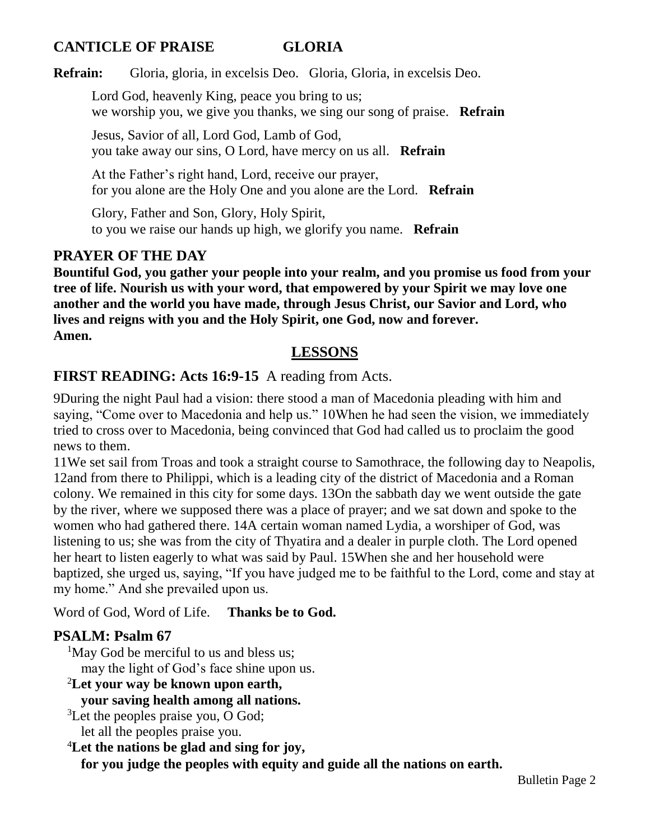## **CANTICLE OF PRAISE GLORIA**

**Refrain:** Gloria, gloria, in excelsis Deo. Gloria, Gloria, in excelsis Deo.

Lord God, heavenly King, peace you bring to us; we worship you, we give you thanks, we sing our song of praise. **Refrain**

Jesus, Savior of all, Lord God, Lamb of God, you take away our sins, O Lord, have mercy on us all. **Refrain**

At the Father's right hand, Lord, receive our prayer, for you alone are the Holy One and you alone are the Lord. **Refrain**

Glory, Father and Son, Glory, Holy Spirit, to you we raise our hands up high, we glorify you name. **Refrain**

## **PRAYER OF THE DAY**

**Bountiful God, you gather your people into your realm, and you promise us food from your tree of life. Nourish us with your word, that empowered by your Spirit we may love one another and the world you have made, through Jesus Christ, our Savior and Lord, who lives and reigns with you and the Holy Spirit, one God, now and forever. Amen.**

## **LESSONS**

## **FIRST READING: Acts 16:9-15** A reading from Acts.

9During the night Paul had a vision: there stood a man of Macedonia pleading with him and saying, "Come over to Macedonia and help us." 10When he had seen the vision, we immediately tried to cross over to Macedonia, being convinced that God had called us to proclaim the good news to them.

11We set sail from Troas and took a straight course to Samothrace, the following day to Neapolis, 12and from there to Philippi, which is a leading city of the district of Macedonia and a Roman colony. We remained in this city for some days. 13On the sabbath day we went outside the gate by the river, where we supposed there was a place of prayer; and we sat down and spoke to the women who had gathered there. 14A certain woman named Lydia, a worshiper of God, was listening to us; she was from the city of Thyatira and a dealer in purple cloth. The Lord opened her heart to listen eagerly to what was said by Paul. 15When she and her household were baptized, she urged us, saying, "If you have judged me to be faithful to the Lord, come and stay at my home." And she prevailed upon us.

Word of God, Word of Life. **Thanks be to God.**

## **PSALM: Psalm 67**

<sup>1</sup>May God be merciful to us and bless us; may the light of God's face shine upon us.

- <sup>2</sup>**Let your way be known upon earth, your saving health among all nations.**
- <sup>3</sup>Let the peoples praise you, O God; let all the peoples praise you.

<sup>4</sup>**Let the nations be glad and sing for joy,**

**for you judge the peoples with equity and guide all the nations on earth.**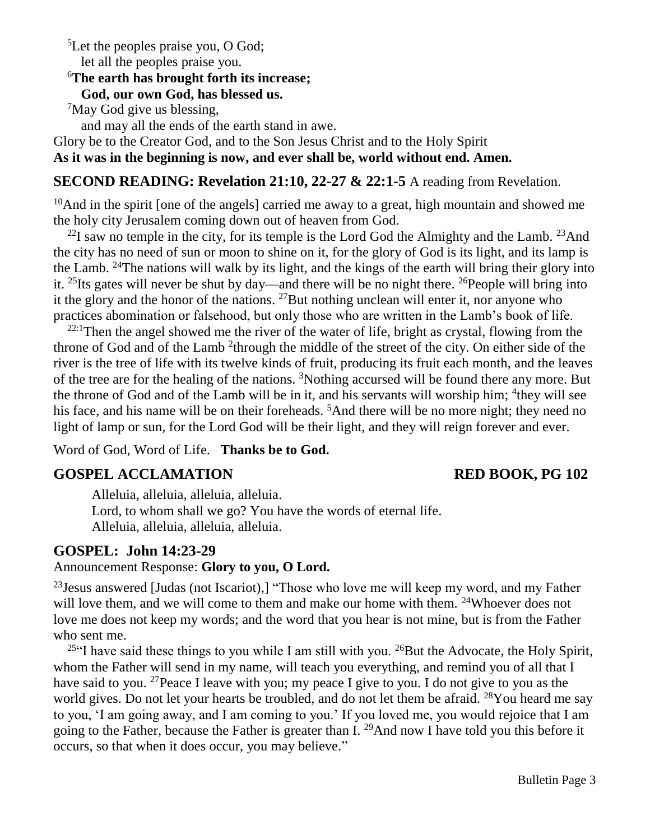<sup>5</sup>Let the peoples praise you, O God;

## let all the peoples praise you.

## <sup>6</sup>**The earth has brought forth its increase;**

#### **God, our own God, has blessed us.**

<sup>7</sup>May God give us blessing,

and may all the ends of the earth stand in awe.

Glory be to the Creator God, and to the Son Jesus Christ and to the Holy Spirit

**As it was in the beginning is now, and ever shall be, world without end. Amen.** 

## **SECOND READING: Revelation 21:10, 22-27 & 22:1-5** A reading from Revelation.

 $10$ And in the spirit [one of the angels] carried me away to a great, high mountain and showed me the holy city Jerusalem coming down out of heaven from God.

 $^{22}$ I saw no temple in the city, for its temple is the Lord God the Almighty and the Lamb.  $^{23}$ And the city has no need of sun or moon to shine on it, for the glory of God is its light, and its lamp is the Lamb. <sup>24</sup>The nations will walk by its light, and the kings of the earth will bring their glory into it. <sup>25</sup>Its gates will never be shut by day—and there will be no night there. <sup>26</sup>People will bring into it the glory and the honor of the nations. <sup>27</sup>But nothing unclean will enter it, nor anyone who practices abomination or falsehood, but only those who are written in the Lamb's book of life.

 $22:1$ Then the angel showed me the river of the water of life, bright as crystal, flowing from the throne of God and of the Lamb <sup>2</sup>through the middle of the street of the city. On either side of the river is the tree of life with its twelve kinds of fruit, producing its fruit each month, and the leaves of the tree are for the healing of the nations. <sup>3</sup>Nothing accursed will be found there any more. But the throne of God and of the Lamb will be in it, and his servants will worship him; <sup>4</sup>they will see his face, and his name will be on their foreheads. <sup>5</sup>And there will be no more night; they need no light of lamp or sun, for the Lord God will be their light, and they will reign forever and ever.

Word of God, Word of Life. **Thanks be to God.**

## **GOSPEL ACCLAMATION RED BOOK, PG 102**

Alleluia, alleluia, alleluia, alleluia. Lord, to whom shall we go? You have the words of eternal life. Alleluia, alleluia, alleluia, alleluia.

## **GOSPEL: John 14:23-29**

### Announcement Response: **Glory to you, O Lord.**

 $^{23}$ Jesus answered [Judas (not Iscariot),] "Those who love me will keep my word, and my Father will love them, and we will come to them and make our home with them. <sup>24</sup>Whoever does not love me does not keep my words; and the word that you hear is not mine, but is from the Father who sent me.

<sup>25</sup> I have said these things to you while I am still with you. <sup>26</sup> But the Advocate, the Holy Spirit, whom the Father will send in my name, will teach you everything, and remind you of all that I have said to you. <sup>27</sup> Peace I leave with you; my peace I give to you. I do not give to you as the world gives. Do not let your hearts be troubled, and do not let them be afraid. <sup>28</sup>You heard me say to you, 'I am going away, and I am coming to you.' If you loved me, you would rejoice that I am going to the Father, because the Father is greater than I. <sup>29</sup>And now I have told you this before it occurs, so that when it does occur, you may believe."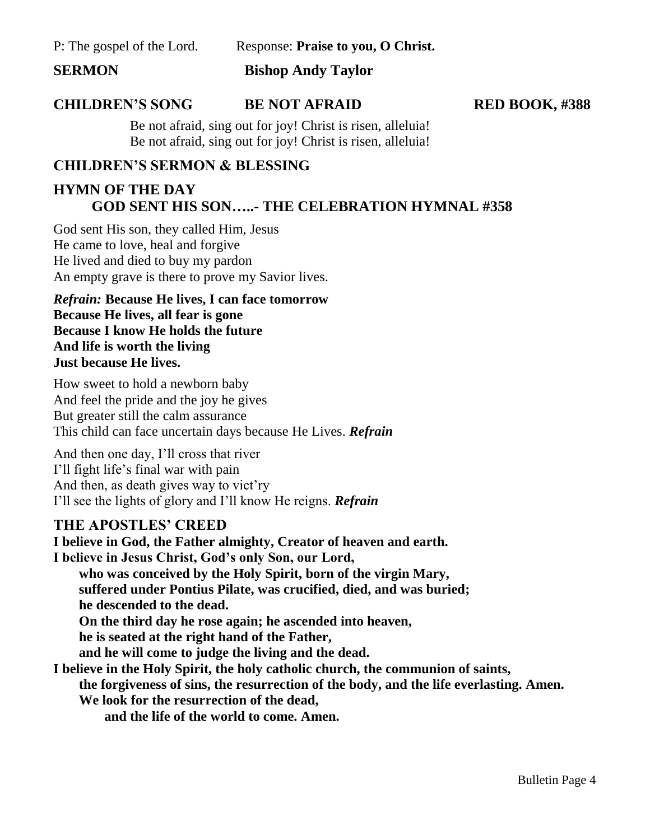P: The gospel of the Lord. Response: **Praise to you, O Christ.**

**SERMON Bishop Andy Taylor**

#### **CHILDREN'S SONG BE NOT AFRAID RED BOOK, #388**

Be not afraid, sing out for joy! Christ is risen, alleluia! Be not afraid, sing out for joy! Christ is risen, alleluia!

### **CHILDREN'S SERMON & BLESSING**

## **HYMN OF THE DAY GOD SENT HIS SON…..- THE CELEBRATION HYMNAL #358**

God sent His son, they called Him, Jesus He came to love, heal and forgive He lived and died to buy my pardon An empty grave is there to prove my Savior lives.

*Refrain:* **Because He lives, I can face tomorrow Because He lives, all fear is gone Because I know He holds the future And life is worth the living Just because He lives.**

How sweet to hold a newborn baby And feel the pride and the joy he gives But greater still the calm assurance This child can face uncertain days because He Lives. *Refrain*

And then one day, I'll cross that river I'll fight life's final war with pain And then, as death gives way to vict'ry I'll see the lights of glory and I'll know He reigns. *Refrain*

#### **THE APOSTLES' CREED**

**I believe in God, the Father almighty, Creator of heaven and earth. I believe in Jesus Christ, God's only Son, our Lord, who was conceived by the Holy Spirit, born of the virgin Mary, suffered under Pontius Pilate, was crucified, died, and was buried; he descended to the dead. On the third day he rose again; he ascended into heaven, he is seated at the right hand of the Father, and he will come to judge the living and the dead. I believe in the Holy Spirit, the holy catholic church, the communion of saints, the forgiveness of sins, the resurrection of the body, and the life everlasting. Amen. We look for the resurrection of the dead, and the life of the world to come. Amen.**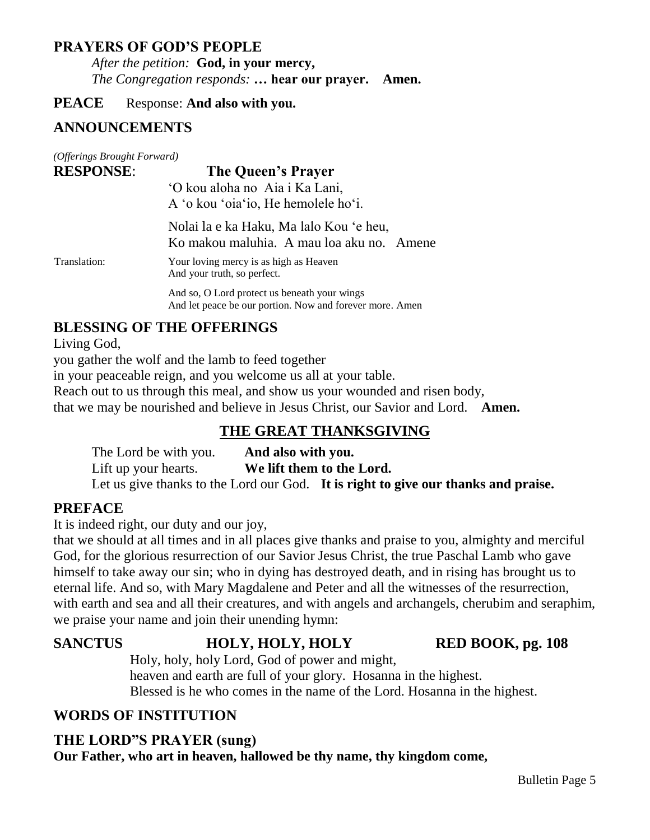### **PRAYERS OF GOD'S PEOPLE**

*After the petition:* **God, in your mercy,** *The Congregation responds:* **… hear our prayer. Amen.**

**PEACE** Response: And also with you.

## **ANNOUNCEMENTS**

| (Offerings Brought Forward) |                                                                                                          |
|-----------------------------|----------------------------------------------------------------------------------------------------------|
| <b>RESPONSE:</b>            | The Queen's Prayer                                                                                       |
|                             | 'O kou aloha no Aia i Ka Lani,<br>A 'o kou 'oia'io, He hemolele ho'i.                                    |
|                             | Nolai la e ka Haku, Ma lalo Kou 'e heu,<br>Ko makou maluhia. A mau loa aku no. Amene                     |
| Translation:                | Your loving mercy is as high as Heaven<br>And your truth, so perfect.                                    |
|                             | And so, O Lord protect us beneath your wings<br>And let peace be our portion. Now and forever more. Amen |

## **BLESSING OF THE OFFERINGS**

Living God,

you gather the wolf and the lamb to feed together

in your peaceable reign, and you welcome us all at your table.

Reach out to us through this meal, and show us your wounded and risen body,

that we may be nourished and believe in Jesus Christ, our Savior and Lord. **Amen.**

## **THE GREAT THANKSGIVING**

The Lord be with you. **And also with you.** Lift up your hearts. **We lift them to the Lord.** Let us give thanks to the Lord our God. **It is right to give our thanks and praise.**

## **PREFACE**

It is indeed right, our duty and our joy,

that we should at all times and in all places give thanks and praise to you, almighty and merciful God, for the glorious resurrection of our Savior Jesus Christ, the true Paschal Lamb who gave himself to take away our sin; who in dying has destroyed death, and in rising has brought us to eternal life. And so, with Mary Magdalene and Peter and all the witnesses of the resurrection, with earth and sea and all their creatures, and with angels and archangels, cherubim and seraphim, we praise your name and join their unending hymn:

# SANCTUS **HOLY, HOLY, HOLY RED BOOK, pg. 108**

Holy, holy, holy Lord, God of power and might, heaven and earth are full of your glory. Hosanna in the highest. Blessed is he who comes in the name of the Lord. Hosanna in the highest.

## **WORDS OF INSTITUTION**

## **THE LORD"S PRAYER (sung)**

**Our Father, who art in heaven, hallowed be thy name, thy kingdom come,**